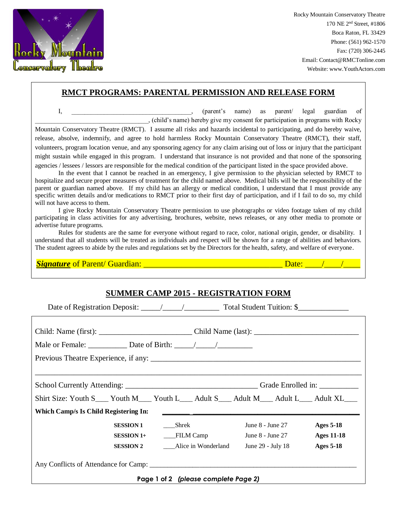

Rocky Mountain Conservatory Theatre 170 NE 2nd Street, #1806 Boca Raton, FL 33429 Phone: (561) 962-1570 Fax: (720) 306-2445 Email: Contact@RMCTonline.com Website: www.YouthActors.com

## **RMCT PROGRAMS: PARENTAL PERMISSION AND RELEASE FORM**

I, **I** is the contract of the contract of the contract of the contract of the contract of the contract of the contract of the contract of the contract of the contract of the contract of the contract of the contract of the \_\_\_\_\_\_\_\_\_\_\_\_\_\_\_\_\_\_\_\_\_\_\_\_\_\_\_\_\_\_\_\_\_\_\_, (child's name) hereby give my consent for participation in programs with Rocky Mountain Conservatory Theatre (RMCT). I assume all risks and hazards incidental to participating, and do hereby waive, release, absolve, indemnify, and agree to hold harmless Rocky Mountain Conservatory Theatre (RMCT), their staff, volunteers, program location venue, and any sponsoring agency for any claim arising out of loss or injury that the participant might sustain while engaged in this program. I understand that insurance is not provided and that none of the sponsoring agencies / lessees / lessors are responsible for the medical condition of the participant listed in the space provided above.

In the event that I cannot be reached in an emergency, I give permission to the physician selected by RMCT to hospitalize and secure proper measures of treatment for the child named above. Medical bills will be the responsibility of the parent or guardian named above. If my child has an allergy or medical condition, I understand that I must provide any specific written details and/or medications to RMCT prior to their first day of participation, and if I fail to do so, my child will not have access to them.

I give Rocky Mountain Conservatory Theatre permission to use photographs or video footage taken of my child participating in class activities for any advertising, brochures, website, news releases, or any other media to promote or advertise future programs.

Rules for students are the same for everyone without regard to race, color, national origin, gender, or disability. I understand that all students will be treated as individuals and respect will be shown for a range of abilities and behaviors. The student agrees to abide by the rules and regulations set by the Directors for the health, safety, and welfare of everyone.

*Signature* of Parent/ Guardian: \_\_\_\_\_\_\_\_\_\_\_\_\_\_\_\_\_\_\_\_\_\_\_\_\_\_\_\_\_\_\_\_\_ Date: \_\_\_\_/\_\_\_\_/\_\_\_\_

## **SUMMER CAMP 2015 - REGISTRATION FORM**

| Shirt Size: Youth S___ Youth M___ Youth L___ Adult S___ Adult M___ Adult L___ Adult XL___ |                                      |
|-------------------------------------------------------------------------------------------|--------------------------------------|
|                                                                                           |                                      |
| June 8 - June 27                                                                          | <b>Ages 5-18</b>                     |
|                                                                                           | <b>Ages 11-18</b>                    |
|                                                                                           | <b>Ages 5-18</b>                     |
|                                                                                           | Page 1 of 2 (please complete Page 2) |